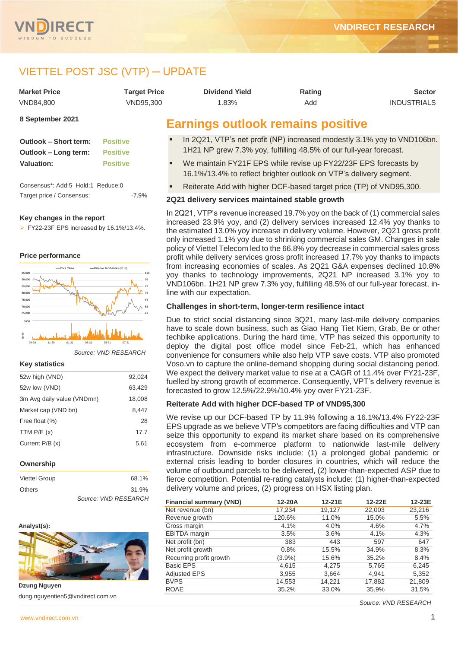



# VIETTEL POST JSC (VTP) ─ UPDATE

| <b>Market Price</b> | Tarqet Price | Dividend Yield                           | Rating | <b>Sector</b>      |
|---------------------|--------------|------------------------------------------|--------|--------------------|
| VND84.800           | VND95.300    | 1.83%                                    | Add    | <b>INDUSTRIALS</b> |
| 8 September 2021    |              | <b>Earnings outlook remains positive</b> |        |                    |

**Outlook – Short term: Positive Outlook – Long term: Positive Valuation: Positive**

Consensus\*: Add:5 Hold:1 Reduce:0 Target price / Consensus: -7.9%

## **Key changes in the report**

➢ FY22-23F EPS increased by 16.1%/13.4%.

## **Price performance**



*Source: VND RESEARCH*

#### **Key statistics**

| 52w high (VND)             | 92,024 |
|----------------------------|--------|
| 52w low (VND)              | 63,429 |
| 3m Avg daily value (VNDmn) | 18,008 |
| Market cap (VND bn)        | 8.447  |
| Free float (%)             | 28     |
| TTM $P/E(x)$               | 17.7   |
| Current P/B (x)            | 5.61   |
|                            |        |

## **Ownership**

| <b>Viettel Group</b> | 68.1%                |
|----------------------|----------------------|
| <b>Others</b>        | 31.9%                |
|                      | Source: VND RESEARCH |

#### **Analyst(s):**



**Dzung Nguyen** dung.nguyentien5@vndirect.com.vn

# **Earnings outlook remains positive**

- In 2Q21, VTP's net profit (NP) increased modestly 3.1% yoy to VND106bn. 1H21 NP grew 7.3% yoy, fulfilling 48.5% of our full-year forecast.
- We maintain FY21F EPS while revise up FY22/23F EPS forecasts by 16.1%/13.4% to reflect brighter outlook on VTP's delivery segment.
- Reiterate Add with higher DCF-based target price (TP) of VND95,300.

## **2Q21 delivery services maintained stable growth**

In 2Q21, VTP's revenue increased 19.7% yoy on the back of (1) commercial sales increased 23.9% yoy, and (2) delivery services increased 12.4% yoy thanks to the estimated 13.0% yoy increase in delivery volume. However, 2Q21 gross profit only increased 1.1% yoy due to shrinking commercial sales GM. Changes in sale policy of Viettel Telecom led to the 66.8% yoy decrease in commercial sales gross profit while delivery services gross profit increased 17.7% yoy thanks to impacts from increasing economies of scales. As 2Q21 G&A expenses declined 10.8% yoy thanks to technology improvements, 2Q21 NP increased 3.1% yoy to VND106bn. 1H21 NP grew 7.3% yoy, fulfilling 48.5% of our full-year forecast, inline with our expectation.

## **Challenges in short-term, longer-term resilience intact**

Due to strict social distancing since 3Q21, many last-mile delivery companies have to scale down business, such as Giao Hang Tiet Kiem, Grab, Be or other techbike applications. During the hard time, VTP has seized this opportunity to deploy the digital post office model since Feb-21, which has enhanced convenience for consumers while also help VTP save costs. VTP also promoted Voso.vn to capture the online-demand shopping during social distancing period. We expect the delivery market value to rise at a CAGR of 11.4% over FY21-23F, fuelled by strong growth of ecommerce. Consequently, VPT's delivery revenue is forecasted to grow 12.5%/22.9%/10.4% yoy over FY21-23F.

## **Reiterate Add with higher DCF-based TP of VND95,300**

We revise up our DCF-based TP by 11.9% following a 16.1%/13.4% FY22-23F EPS upgrade as we believe VTP's competitors are facing difficulties and VTP can seize this opportunity to expand its market share based on its comprehensive ecosystem from e-commerce platform to nationwide last-mile delivery infrastructure. Downside risks include: (1) a prolonged global pandemic or external crisis leading to border closures in countries, which will reduce the volume of outbound parcels to be delivered, (2) lower-than-expected ASP due to fierce competition. Potential re-rating catalysts include: (1) higher-than-expected delivery volume and prices, (2) progress on HSX listing plan.

| <b>Financial summary (VND)</b> | 12-20A    | 12-21E | 12-22E | 12-23E |
|--------------------------------|-----------|--------|--------|--------|
| Net revenue (bn)               | 17.234    | 19,127 | 22,003 | 23,216 |
| Revenue growth                 | 120.6%    | 11.0%  | 15.0%  | 5.5%   |
| Gross margin                   | 4.1%      | 4.0%   | 4.6%   | 4.7%   |
| <b>EBITDA</b> margin           | 3.5%      | 3.6%   | 4.1%   | 4.3%   |
| Net profit (bn)                | 383       | 443    | 597    | 647    |
| Net profit growth              | 0.8%      | 15.5%  | 34.9%  | 8.3%   |
| Recurring profit growth        | $(3.9\%)$ | 15.6%  | 35.2%  | 8.4%   |
| <b>Basic EPS</b>               | 4,615     | 4,275  | 5,765  | 6,245  |
| <b>Adjusted EPS</b>            | 3,955     | 3,664  | 4.941  | 5,352  |
| <b>BVPS</b>                    | 14,553    | 14,221 | 17,882 | 21,809 |
| <b>ROAE</b>                    | 35.2%     | 33.0%  | 35.9%  | 31.5%  |

*Source: VND RESEARCH*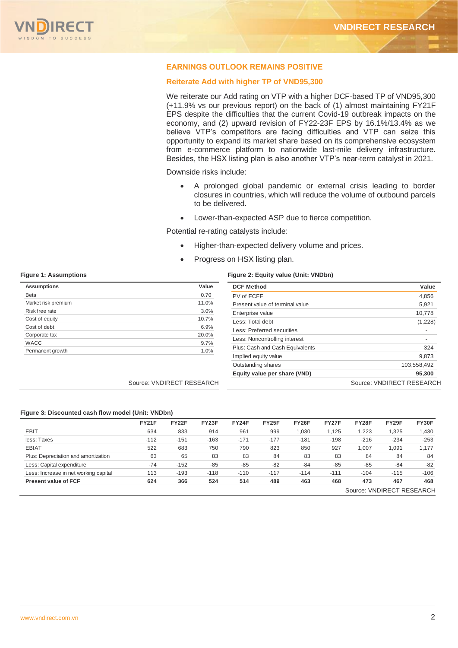## **EARNINGS OUTLOOK REMAINS POSITIVE**

## **Reiterate Add with higher TP of VND95,300**

We reiterate our Add rating on VTP with a higher DCF-based TP of VND95,300 (+11.9% vs our previous report) on the back of (1) almost maintaining FY21F EPS despite the difficulties that the current Covid-19 outbreak impacts on the economy, and (2) upward revision of FY22-23F EPS by 16.1%/13.4% as we believe VTP's competitors are facing difficulties and VTP can seize this opportunity to expand its market share based on its comprehensive ecosystem from e-commerce platform to nationwide last-mile delivery infrastructure. Besides, the HSX listing plan is also another VTP's near-term catalyst in 2021.

Downside risks include:

- A prolonged global pandemic or external crisis leading to border closures in countries, which will reduce the volume of outbound parcels to be delivered.
- Lower-than-expected ASP due to fierce competition.

Potential re-rating catalysts include:

- Higher-than-expected delivery volume and prices.
- Progress on HSX listing plan.

#### **Figure 1: Assumptions Figure 2: Equity value (Unit: VNDbn)**

| <b>Assumptions</b>  | Value                     | <b>DCF Method</b>               | Value                     |
|---------------------|---------------------------|---------------------------------|---------------------------|
| <b>Beta</b>         | 0.70                      | PV of FCFF                      | 4,856                     |
| Market risk premium | 11.0%                     | Present value of terminal value | 5,921                     |
| Risk free rate      | 3.0%                      | Enterprise value                | 10,778                    |
| Cost of equity      | 10.7%                     | Less: Total debt                | (1,228)                   |
| Cost of debt        | 6.9%                      | Less: Preferred securities      |                           |
| Corporate tax       | 20.0%                     | Less: Noncontrolling interest   | $\overline{\phantom{a}}$  |
| <b>WACC</b>         | 9.7%                      | Plus: Cash and Cash Equivalents | 324                       |
| Permanent growth    | 1.0%                      | Implied equity value            | 9,873                     |
|                     |                           | Outstanding shares              | 103,558,492               |
|                     |                           | Equity value per share (VND)    | 95,300                    |
|                     | Source: VNDIRECT RESEARCH |                                 | Source: VNDIRECT RESEARCH |

## **Figure 3: Discounted cash flow model (Unit: VNDbn)**

|                                       | <b>FY21F</b> | <b>FY22F</b> | FY23F  | <b>FY24F</b> | <b>FY25F</b> | <b>FY26F</b> | <b>FY27F</b> | <b>FY28F</b> | FY29F  | FY30F  |
|---------------------------------------|--------------|--------------|--------|--------------|--------------|--------------|--------------|--------------|--------|--------|
| <b>EBIT</b>                           | 634          | 833          | 914    | 961          | 999          | 1,030        | 1.125        | 1,223        | ,325   | 1,430  |
| less: Taxes                           | $-112$       | $-151$       | $-163$ | $-171$       | $-177$       | $-181$       | $-198$       | $-216$       | $-234$ | $-253$ |
| <b>EBIAT</b>                          | 522          | 683          | 750    | 790          | 823          | 850          | 927          | 1.007        | 1,091  | 1,177  |
| Plus: Depreciation and amortization   | 63           | 65           | 83     | 83           | 84           | 83           | 83           | 84           | 84     | 84     |
| Less: Capital expenditure             | $-74$        | $-152$       | $-85$  | $-85$        | $-82$        | $-84$        | $-85$        | $-85$        | $-84$  | $-82$  |
| Less: Increase in net working capital | 113          | $-193$       | $-118$ | $-110$       | $-117$       | $-114$       | $-111$       | $-104$       | $-115$ | $-106$ |
| <b>Present value of FCF</b>           | 624          | 366          | 524    | 514          | 489          | 463          | 468          | 473          | 467    | 468    |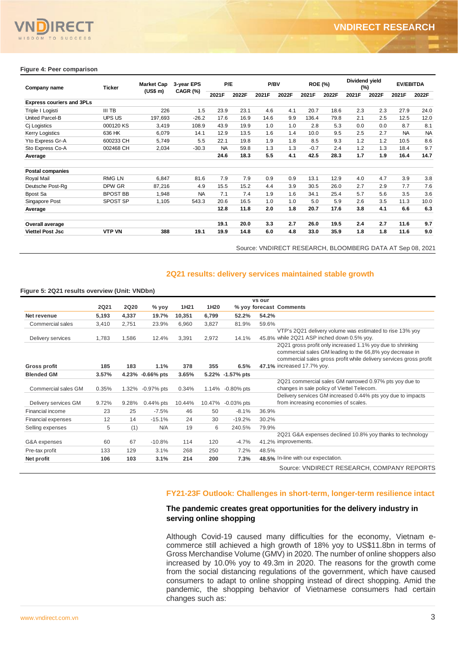

| Company name                     | Ticker          | <b>Market Cap</b> | 3-year EPS | P/E       |       | P/BV  |       | <b>ROE (%)</b> |       | Dividend yield<br>(%) |       | <b>EV/EBITDA</b> |           |
|----------------------------------|-----------------|-------------------|------------|-----------|-------|-------|-------|----------------|-------|-----------------------|-------|------------------|-----------|
|                                  |                 | (US\$ m)          | CAGR (%)   | 2021F     | 2022F | 2021F | 2022F | 2021F          | 2022F | 2021F                 | 2022F | 2021F            | 2022F     |
| <b>Express couriers and 3PLs</b> |                 |                   |            |           |       |       |       |                |       |                       |       |                  |           |
| Triple I Logisti                 | III TB          | 226               | 1.5        | 23.9      | 23.1  | 4.6   | 4.1   | 20.7           | 18.6  | 2.3                   | 2.3   | 27.9             | 24.0      |
| United Parcel-B                  | <b>UPS US</b>   | 197,693           | $-26.2$    | 17.6      | 16.9  | 14.6  | 9.9   | 136.4          | 79.8  | 2.1                   | 2.5   | 12.5             | 12.0      |
| Cj Logistics                     | 000120 KS       | 3,419             | 108.9      | 43.9      | 19.9  | 1.0   | 1.0   | 2.8            | 5.3   | 0.0                   | 0.0   | 8.7              | 8.1       |
| <b>Kerry Logistics</b>           | 636 HK          | 6,079             | 14.1       | 12.9      | 13.5  | 1.6   | 1.4   | 10.0           | 9.5   | 2.5                   | 2.7   | <b>NA</b>        | <b>NA</b> |
| Yto Express Gr-A                 | 600233 CH       | 5,749             | 5.5        | 22.1      | 19.8  | 1.9   | 1.8   | 8.5            | 9.3   | 1.2                   | 1.2   | 10.5             | 8.6       |
| Sto Express Co-A                 | 002468 CH       | 2,034             | $-30.3$    | <b>NA</b> | 59.8  | 1.3   | 1.3   | $-0.7$         | 2.4   | 1.2                   | 1.3   | 18.4             | 9.7       |
| Average                          |                 |                   |            | 24.6      | 18.3  | 5.5   | 4.1   | 42.5           | 28.3  | 1.7                   | 1.9   | 16.4             | 14.7      |
| <b>Postal companies</b>          |                 |                   |            |           |       |       |       |                |       |                       |       |                  |           |
| Royal Mail                       | <b>RMG LN</b>   | 6,847             | 81.6       | 7.9       | 7.9   | 0.9   | 0.9   | 13.1           | 12.9  | 4.0                   | 4.7   | 3.9              | 3.8       |
| Deutsche Post-Rg                 | DPW GR          | 87,216            | 4.9        | 15.5      | 15.2  | 4.4   | 3.9   | 30.5           | 26.0  | 2.7                   | 2.9   | 7.7              | 7.6       |
| Bpost Sa                         | <b>BPOST BB</b> | 1,948             | <b>NA</b>  | 7.1       | 7.4   | 1.9   | 1.6   | 34.1           | 25.4  | 5.7                   | 5.6   | 3.5              | 3.6       |
| Singapore Post                   | SPOST SP        | 1,105             | 543.3      | 20.6      | 16.5  | 1.0   | 1.0   | 5.0            | 5.9   | 2.6                   | 3.5   | 11.3             | 10.0      |
| Average                          |                 |                   |            | 12.8      | 11.8  | 2.0   | 1.8   | 20.7           | 17.6  | 3.8                   | 4.1   | 6.6              | 6.3       |
| Overall average                  |                 |                   |            | 19.1      | 20.0  | 3.3   | 2.7   | 26.0           | 19.5  | 2.4                   | 2.7   | 11.6             | 9.7       |
| <b>Viettel Post Jsc</b>          | <b>VTP VN</b>   | 388               | 19.1       | 19.9      | 14.8  | 6.0   | 4.8   | 33.0           | 35.9  | 1.8                   | 1.8   | 11.6             | 9.0       |

## **2Q21 results: delivery services maintained stable growth**

#### **Figure 5: 2Q21 results overview (Unit: VNDbn)**

| 226<br>197,693<br>3,419<br>6,079<br>5,749<br>2,034<br>6,847<br>87,216<br>1,948<br>1,105<br>388<br>Figure 5: 2Q21 results overview (Unit: VNDbn)<br><b>2Q20</b><br>% yoy<br>19.7%<br>4,337<br>2,751<br>23.9%<br>1,586<br>12.4% | 1H <sub>21</sub><br>10,351<br>6,960<br>3,391                                                                                            | 1.5<br>$-26.2$<br>108.9<br>14.1<br>5.5<br>$-30.3$<br>81.6<br>4.9<br><b>NA</b><br>543.3<br>19.1<br>1H20<br>6,799<br>3,827<br>2,972 | 23.9<br>23.1<br>17.6<br>16.9<br>43.9<br>19.9<br>12.9<br>13.5<br>22.1<br>19.8<br><b>NA</b><br>59.8<br>24.6<br>18.3<br>7.9<br>7.9<br>15.5<br>15.2<br>7.1<br>7.4<br>20.6<br>16.5<br>12.8<br>11.8<br>19.1<br>20.0<br>19.9<br>14.8<br>2Q21 results: delivery services maintained stable growth<br>52.2%<br>81.9%<br>14.1% | 4.6<br>14.6<br>1.0<br>1.6<br>1.9<br>1.3<br>5.5<br>0.9<br>4.4<br>1.9<br>1.0<br>2.0<br>3.3<br>6.0<br>vs our<br>% yoy forecast Comments<br>54.2%<br>59.6% | 4.1<br>9.9<br>1.0<br>1.4<br>1.8<br>1.3<br>4.1<br>0.9<br>3.9<br>1.6<br>1.0<br>1.8<br>2.7<br>4.8 | 20.7<br>136.4<br>2.8<br>10.0<br>8.5<br>$-0.7$<br>42.5<br>13.1<br>30.5<br>34.1<br>5.0<br>20.7<br>26.0<br>33.0 | 18.6<br>79.8<br>5.3<br>9.5<br>9.3<br>2.4<br>28.3<br>12.9<br>26.0<br>25.4<br>5.9<br>17.6<br>19.5<br>35.9 | 2.3<br>2.1<br>0.0<br>2.5<br>1.2<br>1.2<br>1.7<br>4.0<br>2.7<br>5.7<br>2.6<br>3.8<br>2.4<br>1.8 | 2.3<br>2.5<br>0.0<br>2.7<br>1.2<br>1.3<br>1.9<br>4.7<br>2.9<br>5.6<br>3.5<br>4.1<br>2.7<br>1.8<br>Source: VNDIRECT RESEARCH, BLOOMBERG DATA AT Sep 08, 2021                                  | 27.9<br>12.5<br>8.7<br><b>NA</b><br>10.5<br>18.4<br>16.4<br>3.9<br>7.7<br>3.5<br>11.3<br>6.6<br>11.6<br>11.6 | 24.0<br>12.0<br>8.1<br><b>NA</b><br>8.6<br>9.7<br>14.7<br>3.8<br>7.6<br>3.6<br>10.0<br>6.3<br>9.7<br>9.0                                                                                                                                                                                                                                                                                                                                                                                                                                                                                                                                                                                                 |
|-------------------------------------------------------------------------------------------------------------------------------------------------------------------------------------------------------------------------------|-----------------------------------------------------------------------------------------------------------------------------------------|-----------------------------------------------------------------------------------------------------------------------------------|----------------------------------------------------------------------------------------------------------------------------------------------------------------------------------------------------------------------------------------------------------------------------------------------------------------------|--------------------------------------------------------------------------------------------------------------------------------------------------------|------------------------------------------------------------------------------------------------|--------------------------------------------------------------------------------------------------------------|---------------------------------------------------------------------------------------------------------|------------------------------------------------------------------------------------------------|----------------------------------------------------------------------------------------------------------------------------------------------------------------------------------------------|--------------------------------------------------------------------------------------------------------------|----------------------------------------------------------------------------------------------------------------------------------------------------------------------------------------------------------------------------------------------------------------------------------------------------------------------------------------------------------------------------------------------------------------------------------------------------------------------------------------------------------------------------------------------------------------------------------------------------------------------------------------------------------------------------------------------------------|
|                                                                                                                                                                                                                               |                                                                                                                                         |                                                                                                                                   |                                                                                                                                                                                                                                                                                                                      |                                                                                                                                                        |                                                                                                |                                                                                                              |                                                                                                         |                                                                                                |                                                                                                                                                                                              |                                                                                                              |                                                                                                                                                                                                                                                                                                                                                                                                                                                                                                                                                                                                                                                                                                          |
|                                                                                                                                                                                                                               |                                                                                                                                         |                                                                                                                                   |                                                                                                                                                                                                                                                                                                                      |                                                                                                                                                        |                                                                                                |                                                                                                              |                                                                                                         |                                                                                                |                                                                                                                                                                                              |                                                                                                              |                                                                                                                                                                                                                                                                                                                                                                                                                                                                                                                                                                                                                                                                                                          |
|                                                                                                                                                                                                                               |                                                                                                                                         |                                                                                                                                   |                                                                                                                                                                                                                                                                                                                      |                                                                                                                                                        |                                                                                                |                                                                                                              |                                                                                                         |                                                                                                |                                                                                                                                                                                              |                                                                                                              |                                                                                                                                                                                                                                                                                                                                                                                                                                                                                                                                                                                                                                                                                                          |
|                                                                                                                                                                                                                               |                                                                                                                                         |                                                                                                                                   |                                                                                                                                                                                                                                                                                                                      |                                                                                                                                                        |                                                                                                |                                                                                                              |                                                                                                         |                                                                                                |                                                                                                                                                                                              |                                                                                                              |                                                                                                                                                                                                                                                                                                                                                                                                                                                                                                                                                                                                                                                                                                          |
|                                                                                                                                                                                                                               |                                                                                                                                         |                                                                                                                                   |                                                                                                                                                                                                                                                                                                                      |                                                                                                                                                        |                                                                                                |                                                                                                              |                                                                                                         |                                                                                                |                                                                                                                                                                                              |                                                                                                              |                                                                                                                                                                                                                                                                                                                                                                                                                                                                                                                                                                                                                                                                                                          |
|                                                                                                                                                                                                                               |                                                                                                                                         |                                                                                                                                   |                                                                                                                                                                                                                                                                                                                      |                                                                                                                                                        |                                                                                                |                                                                                                              |                                                                                                         |                                                                                                |                                                                                                                                                                                              |                                                                                                              |                                                                                                                                                                                                                                                                                                                                                                                                                                                                                                                                                                                                                                                                                                          |
|                                                                                                                                                                                                                               |                                                                                                                                         |                                                                                                                                   |                                                                                                                                                                                                                                                                                                                      |                                                                                                                                                        |                                                                                                |                                                                                                              |                                                                                                         |                                                                                                |                                                                                                                                                                                              |                                                                                                              |                                                                                                                                                                                                                                                                                                                                                                                                                                                                                                                                                                                                                                                                                                          |
|                                                                                                                                                                                                                               |                                                                                                                                         |                                                                                                                                   |                                                                                                                                                                                                                                                                                                                      |                                                                                                                                                        |                                                                                                |                                                                                                              |                                                                                                         |                                                                                                |                                                                                                                                                                                              |                                                                                                              |                                                                                                                                                                                                                                                                                                                                                                                                                                                                                                                                                                                                                                                                                                          |
|                                                                                                                                                                                                                               |                                                                                                                                         |                                                                                                                                   |                                                                                                                                                                                                                                                                                                                      |                                                                                                                                                        |                                                                                                |                                                                                                              |                                                                                                         |                                                                                                |                                                                                                                                                                                              |                                                                                                              |                                                                                                                                                                                                                                                                                                                                                                                                                                                                                                                                                                                                                                                                                                          |
|                                                                                                                                                                                                                               |                                                                                                                                         |                                                                                                                                   |                                                                                                                                                                                                                                                                                                                      |                                                                                                                                                        |                                                                                                |                                                                                                              |                                                                                                         |                                                                                                |                                                                                                                                                                                              |                                                                                                              |                                                                                                                                                                                                                                                                                                                                                                                                                                                                                                                                                                                                                                                                                                          |
|                                                                                                                                                                                                                               |                                                                                                                                         |                                                                                                                                   |                                                                                                                                                                                                                                                                                                                      |                                                                                                                                                        |                                                                                                |                                                                                                              |                                                                                                         |                                                                                                |                                                                                                                                                                                              |                                                                                                              |                                                                                                                                                                                                                                                                                                                                                                                                                                                                                                                                                                                                                                                                                                          |
|                                                                                                                                                                                                                               |                                                                                                                                         |                                                                                                                                   |                                                                                                                                                                                                                                                                                                                      |                                                                                                                                                        |                                                                                                |                                                                                                              |                                                                                                         |                                                                                                |                                                                                                                                                                                              |                                                                                                              |                                                                                                                                                                                                                                                                                                                                                                                                                                                                                                                                                                                                                                                                                                          |
|                                                                                                                                                                                                                               |                                                                                                                                         |                                                                                                                                   |                                                                                                                                                                                                                                                                                                                      |                                                                                                                                                        |                                                                                                |                                                                                                              |                                                                                                         |                                                                                                |                                                                                                                                                                                              |                                                                                                              |                                                                                                                                                                                                                                                                                                                                                                                                                                                                                                                                                                                                                                                                                                          |
|                                                                                                                                                                                                                               |                                                                                                                                         |                                                                                                                                   |                                                                                                                                                                                                                                                                                                                      |                                                                                                                                                        |                                                                                                |                                                                                                              |                                                                                                         |                                                                                                |                                                                                                                                                                                              |                                                                                                              |                                                                                                                                                                                                                                                                                                                                                                                                                                                                                                                                                                                                                                                                                                          |
|                                                                                                                                                                                                                               |                                                                                                                                         |                                                                                                                                   |                                                                                                                                                                                                                                                                                                                      |                                                                                                                                                        |                                                                                                |                                                                                                              |                                                                                                         |                                                                                                |                                                                                                                                                                                              |                                                                                                              |                                                                                                                                                                                                                                                                                                                                                                                                                                                                                                                                                                                                                                                                                                          |
|                                                                                                                                                                                                                               |                                                                                                                                         |                                                                                                                                   |                                                                                                                                                                                                                                                                                                                      |                                                                                                                                                        |                                                                                                |                                                                                                              |                                                                                                         |                                                                                                |                                                                                                                                                                                              |                                                                                                              |                                                                                                                                                                                                                                                                                                                                                                                                                                                                                                                                                                                                                                                                                                          |
|                                                                                                                                                                                                                               |                                                                                                                                         |                                                                                                                                   |                                                                                                                                                                                                                                                                                                                      |                                                                                                                                                        |                                                                                                |                                                                                                              |                                                                                                         |                                                                                                |                                                                                                                                                                                              |                                                                                                              |                                                                                                                                                                                                                                                                                                                                                                                                                                                                                                                                                                                                                                                                                                          |
|                                                                                                                                                                                                                               |                                                                                                                                         |                                                                                                                                   |                                                                                                                                                                                                                                                                                                                      |                                                                                                                                                        |                                                                                                |                                                                                                              |                                                                                                         |                                                                                                |                                                                                                                                                                                              |                                                                                                              |                                                                                                                                                                                                                                                                                                                                                                                                                                                                                                                                                                                                                                                                                                          |
|                                                                                                                                                                                                                               |                                                                                                                                         |                                                                                                                                   |                                                                                                                                                                                                                                                                                                                      |                                                                                                                                                        |                                                                                                |                                                                                                              |                                                                                                         |                                                                                                |                                                                                                                                                                                              |                                                                                                              |                                                                                                                                                                                                                                                                                                                                                                                                                                                                                                                                                                                                                                                                                                          |
|                                                                                                                                                                                                                               |                                                                                                                                         |                                                                                                                                   |                                                                                                                                                                                                                                                                                                                      |                                                                                                                                                        | 45.8% while 2Q21 ASP inched down 0.5% yoy.                                                     |                                                                                                              |                                                                                                         |                                                                                                | VTP's 2Q21 delivery volume was estimated to rise 13% yoy                                                                                                                                     |                                                                                                              |                                                                                                                                                                                                                                                                                                                                                                                                                                                                                                                                                                                                                                                                                                          |
| 183<br>1.1%                                                                                                                                                                                                                   | 378                                                                                                                                     | 355                                                                                                                               | 6.5%                                                                                                                                                                                                                                                                                                                 |                                                                                                                                                        |                                                                                                |                                                                                                              |                                                                                                         |                                                                                                | 2Q21 gross profit only increased 1.1% yoy due to shrinking<br>commercial sales GM leading to the 66,8% yoy decrease in<br>commercial sales gross profit while delivery services gross profit |                                                                                                              |                                                                                                                                                                                                                                                                                                                                                                                                                                                                                                                                                                                                                                                                                                          |
|                                                                                                                                                                                                                               | 3.65%                                                                                                                                   |                                                                                                                                   |                                                                                                                                                                                                                                                                                                                      |                                                                                                                                                        |                                                                                                |                                                                                                              |                                                                                                         |                                                                                                |                                                                                                                                                                                              |                                                                                                              |                                                                                                                                                                                                                                                                                                                                                                                                                                                                                                                                                                                                                                                                                                          |
| $-0.97%$ pts                                                                                                                                                                                                                  | 0.34%                                                                                                                                   |                                                                                                                                   |                                                                                                                                                                                                                                                                                                                      |                                                                                                                                                        |                                                                                                |                                                                                                              |                                                                                                         |                                                                                                |                                                                                                                                                                                              |                                                                                                              |                                                                                                                                                                                                                                                                                                                                                                                                                                                                                                                                                                                                                                                                                                          |
|                                                                                                                                                                                                                               |                                                                                                                                         |                                                                                                                                   |                                                                                                                                                                                                                                                                                                                      |                                                                                                                                                        |                                                                                                |                                                                                                              |                                                                                                         |                                                                                                |                                                                                                                                                                                              |                                                                                                              |                                                                                                                                                                                                                                                                                                                                                                                                                                                                                                                                                                                                                                                                                                          |
|                                                                                                                                                                                                                               |                                                                                                                                         |                                                                                                                                   |                                                                                                                                                                                                                                                                                                                      |                                                                                                                                                        |                                                                                                |                                                                                                              |                                                                                                         |                                                                                                |                                                                                                                                                                                              |                                                                                                              |                                                                                                                                                                                                                                                                                                                                                                                                                                                                                                                                                                                                                                                                                                          |
|                                                                                                                                                                                                                               |                                                                                                                                         |                                                                                                                                   |                                                                                                                                                                                                                                                                                                                      |                                                                                                                                                        |                                                                                                |                                                                                                              |                                                                                                         |                                                                                                |                                                                                                                                                                                              |                                                                                                              |                                                                                                                                                                                                                                                                                                                                                                                                                                                                                                                                                                                                                                                                                                          |
|                                                                                                                                                                                                                               |                                                                                                                                         |                                                                                                                                   |                                                                                                                                                                                                                                                                                                                      |                                                                                                                                                        |                                                                                                |                                                                                                              |                                                                                                         |                                                                                                |                                                                                                                                                                                              |                                                                                                              |                                                                                                                                                                                                                                                                                                                                                                                                                                                                                                                                                                                                                                                                                                          |
|                                                                                                                                                                                                                               |                                                                                                                                         |                                                                                                                                   |                                                                                                                                                                                                                                                                                                                      |                                                                                                                                                        |                                                                                                |                                                                                                              |                                                                                                         |                                                                                                |                                                                                                                                                                                              |                                                                                                              |                                                                                                                                                                                                                                                                                                                                                                                                                                                                                                                                                                                                                                                                                                          |
| $-10.8%$                                                                                                                                                                                                                      | 114                                                                                                                                     | 120                                                                                                                               | $-4.7%$                                                                                                                                                                                                                                                                                                              |                                                                                                                                                        |                                                                                                |                                                                                                              |                                                                                                         |                                                                                                |                                                                                                                                                                                              |                                                                                                              |                                                                                                                                                                                                                                                                                                                                                                                                                                                                                                                                                                                                                                                                                                          |
|                                                                                                                                                                                                                               |                                                                                                                                         |                                                                                                                                   |                                                                                                                                                                                                                                                                                                                      |                                                                                                                                                        |                                                                                                |                                                                                                              |                                                                                                         |                                                                                                |                                                                                                                                                                                              |                                                                                                              |                                                                                                                                                                                                                                                                                                                                                                                                                                                                                                                                                                                                                                                                                                          |
|                                                                                                                                                                                                                               |                                                                                                                                         |                                                                                                                                   |                                                                                                                                                                                                                                                                                                                      |                                                                                                                                                        |                                                                                                |                                                                                                              |                                                                                                         |                                                                                                |                                                                                                                                                                                              |                                                                                                              |                                                                                                                                                                                                                                                                                                                                                                                                                                                                                                                                                                                                                                                                                                          |
|                                                                                                                                                                                                                               | 4.23% -0.66% pts<br>1.32%<br>9.28%<br>$0.44\%$ pts<br>25<br>$-7.5%$<br>14<br>$-15.1%$<br>(1)<br>N/A<br>67<br>129<br>3.1%<br>103<br>3.1% | 10.44%<br>46<br>24<br>19<br>268<br>214                                                                                            | 50<br>30<br>6<br>250<br>200                                                                                                                                                                                                                                                                                          | 5.22% -1.57% pts<br>1.14% -0.80% pts<br>10.47%<br>$-0.03\%$ pts<br>$-8.1%$<br>$-19.2%$<br>240.5%<br>7.2%<br>7.3%                                       | serving online shopping                                                                        | 36.9%<br>30.2%<br>79.9%<br>48.5%                                                                             | 41.2% improvements.                                                                                     | 47.1% increased 17.7% yoy.<br>48.5% In-line with our expectation.                              |                                                                                                                                                                                              | changes in sale policy of Viettel Telecom.<br>from increasing economies of scales.                           | 2Q21 commercial sales GM narrowed 0.97% pts yoy due to<br>Delivery services GM increased 0.44% pts yoy due to impacts<br>2Q21 G&A expenses declined 10.8% yoy thanks to technology<br>Source: VNDIRECT RESEARCH, COMPANY REPORTS<br>FY21-23F Outlook: Challenges in short-term, longer-term resilience intact<br>The pandemic creates great opportunities for the delivery industry in<br>Although Covid-19 caused many difficulties for the economy, Vietnam e-<br>commerce still achieved a high growth of 18% yoy to US\$11.8bn in terms of<br>Gross Merchandise Volume (GMV) in 2020. The number of online shoppers also<br>increased by 10.0% yoy to 49.3m in 2020. The reasons for the growth come |

## **FY21-23F Outlook: Challenges in short-term, longer-term resilience intact**

## **The pandemic creates great opportunities for the delivery industry in serving online shopping**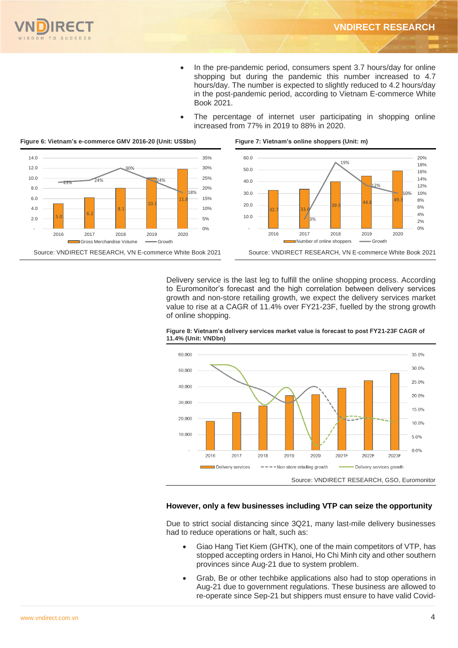$\frac{1}{2}$  39.9  $\frac{44.8}{2}$  report report in  $\frac{600}{2}$ 

10%

 $0%$ 2% 4% 6% 8% 10% 12% 14% 16% 18% 20%

12%

39.9 44.8 49.3



- In the pre-pandemic period, consumers spent 3.7 hours/day for online shopping but during the pandemic this number increased to 4.7 hours/day. The number is expected to slightly reduced to 4.2 hours/day in the post-pandemic period, according to Vietnam E-commerce White Book 2021.
- The percentage of internet user participating in shopping online increased from 77% in 2019 to 88% in 2020.



#### **Figure 6: Vietnam's e-commerce GMV 2016-20 (Unit: US\$bn) Figure 7: Vietnam's online shoppers (Unit: m)**



3%

2016 2017 2018 2019 2020 Number of online shoppers Growth Source: VNDIRECT RESEARCH, VN E-commerce White Book 2021

32.7 33.6

 - 10.0 20.0 30.0

Delivery service is the last leg to fulfill the online shopping process. According to Euromonitor's forecast and the high correlation between delivery services growth and non-store retailing growth, we expect the delivery services market value to rise at a CAGR of 11.4% over FY21-23F, fuelled by the strong growth of online shopping.



**Figure 8: Vietnam's delivery services market value is forecast to post FY21-23F CAGR of 11.4% (Unit: VNDbn)**

#### **However, only a few businesses including VTP can seize the opportunity**

Due to strict social distancing since 3Q21, many last-mile delivery businesses had to reduce operations or halt, such as:

- Giao Hang Tiet Kiem (GHTK), one of the main competitors of VTP, has stopped accepting orders in Hanoi, Ho Chi Minh city and other southern provinces since Aug-21 due to system problem.
- Grab, Be or other techbike applications also had to stop operations in Aug-21 due to government regulations. These business are allowed to re-operate since Sep-21 but shippers must ensure to have valid Covid-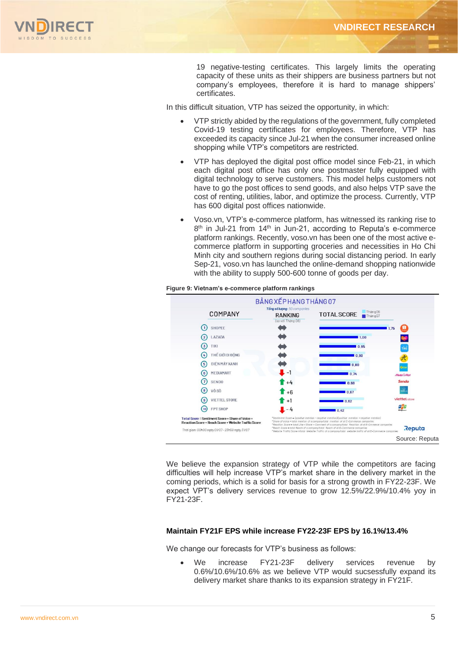

19 negative-testing certificates. This largely limits the operating capacity of these units as their shippers are business partners but not company's employees, therefore it is hard to manage shippers' certificates.

In this difficult situation, VTP has seized the opportunity, in which:

- VTP strictly abided by the regulations of the government, fully completed Covid-19 testing certificates for employees. Therefore, VTP has exceeded its capacity since Jul-21 when the consumer increased online shopping while VTP's competitors are restricted.
- VTP has deployed the digital post office model since Feb-21, in which each digital post office has only one postmaster fully equipped with digital technology to serve customers. This model helps customers not have to go the post offices to send goods, and also helps VTP save the cost of renting, utilities, labor, and optimize the process. Currently, VTP has 600 digital post offices nationwide.
- Voso.vn, VTP's e-commerce platform, has witnessed its ranking rise to 8<sup>th</sup> in Jul-21 from 14<sup>th</sup> in Jun-21, according to Reputa's e-commerce platform rankings. Recently, voso.vn has been one of the most active ecommerce platform in supporting groceries and necessities in Ho Chi Minh city and southern regions during social distancing period. In early Sep-21, voso.vn has launched the online-demand shopping nationwide with the ability to supply 500-600 tonne of goods per day.



#### **Figure 9: Vietnam's e-commerce platform rankings**

We believe the expansion strategy of VTP while the competitors are facing difficulties will help increase VTP's market share in the delivery market in the coming periods, which is a solid for basis for a strong growth in FY22-23F. We expect VPT's delivery services revenue to grow 12.5%/22.9%/10.4% yoy in FY21-23F.

## **Maintain FY21F EPS while increase FY22-23F EPS by 16.1%/13.4%**

We change our forecasts for VTP's business as follows:

We increase FY21-23F delivery services revenue by 0.6%/10.6%/10.6% as we believe VTP would sucsessfully expand its delivery market share thanks to its expansion strategy in FY21F.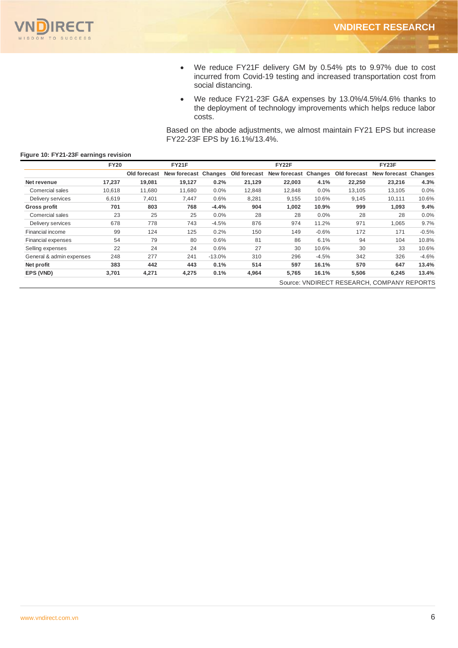

- We reduce FY21F delivery GM by 0.54% pts to 9.97% due to cost incurred from Covid-19 testing and increased transportation cost from social distancing.
- We reduce FY21-23F G&A expenses by 13.0%/4.5%/4.6% thanks to the deployment of technology improvements which helps reduce labor costs.

Based on the abode adjustments, we almost maintain FY21 EPS but increase FY22-23F EPS by 16.1%/13.4%.

|                          | <b>FY20</b> |              | FY21F                |          |              | <b>FY22F</b>         |         |              | FY23F                                      |         |
|--------------------------|-------------|--------------|----------------------|----------|--------------|----------------------|---------|--------------|--------------------------------------------|---------|
|                          |             | Old forecast | New forecast Changes |          | Old forecast | New forecast Changes |         | Old forecast | New forecast Changes                       |         |
| Net revenue              | 17,237      | 19,081       | 19,127               | 0.2%     | 21,129       | 22,003               | 4.1%    | 22,250       | 23,216                                     | 4.3%    |
| Comercial sales          | 10,618      | 11,680       | 11,680               | 0.0%     | 12,848       | 12,848               | $0.0\%$ | 13,105       | 13,105                                     | 0.0%    |
| Delivery services        | 6,619       | 7,401        | 7,447                | 0.6%     | 8,281        | 9,155                | 10.6%   | 9,145        | 10,111                                     | 10.6%   |
| Gross profit             | 701         | 803          | 768                  | $-4.4%$  | 904          | 1,002                | 10.9%   | 999          | 1,093                                      | 9.4%    |
| Comercial sales          | 23          | 25           | 25                   | $0.0\%$  | 28           | 28                   | $0.0\%$ | 28           | 28                                         | 0.0%    |
| Delivery services        | 678         | 778          | 743                  | $-4.5%$  | 876          | 974                  | 11.2%   | 971          | 1.065                                      | 9.7%    |
| Financial income         | 99          | 124          | 125                  | 0.2%     | 150          | 149                  | $-0.6%$ | 172          | 171                                        | $-0.5%$ |
| Financial expenses       | 54          | 79           | 80                   | 0.6%     | 81           | 86                   | 6.1%    | 94           | 104                                        | 10.8%   |
| Selling expenses         | 22          | 24           | 24                   | 0.6%     | 27           | 30                   | 10.6%   | 30           | 33                                         | 10.6%   |
| General & admin expenses | 248         | 277          | 241                  | $-13.0%$ | 310          | 296                  | $-4.5%$ | 342          | 326                                        | $-4.6%$ |
| Net profit               | 383         | 442          | 443                  | 0.1%     | 514          | 597                  | 16.1%   | 570          | 647                                        | 13.4%   |
| EPS (VND)                | 3,701       | 4,271        | 4,275                | 0.1%     | 4,964        | 5,765                | 16.1%   | 5,506        | 6,245                                      | 13.4%   |
|                          |             |              |                      |          |              |                      |         |              | Source: VNDIRECT RESEARCH, COMPANY REPORTS |         |

## **Figure 10: FY21-23F earnings revision**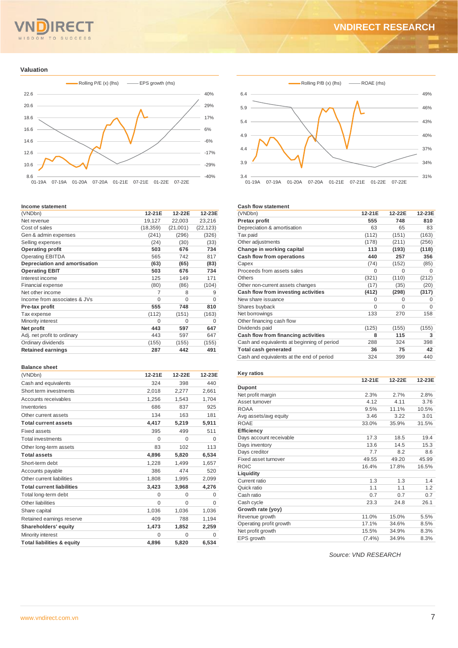#### $Q$  M TO **SUCCESS**  $S<sub>D</sub>$

## **VNDIRECT RESEARCH**

#### **Valuation**



#### **Income statement**

| (VNDbn)                       | 12-21E    | 12-22E   | 12-23E    |
|-------------------------------|-----------|----------|-----------|
| Net revenue                   | 19,127    | 22,003   | 23,216    |
| Cost of sales                 | (18, 359) | (21,001) | (22, 123) |
| Gen & admin expenses          | (241)     | (296)    | (326)     |
| Selling expenses              | (24)      | (30)     | (33)      |
| <b>Operating profit</b>       | 503       | 676      | 734       |
| <b>Operating EBITDA</b>       | 565       | 742      | 817       |
| Depreciation and amortisation | (63)      | (65)     | (83)      |
| <b>Operating EBIT</b>         | 503       | 676      | 734       |
| Interest income               | 125       | 149      | 171       |
| <b>Financial expense</b>      | (80)      | (86)     | (104)     |
| Net other income              | 7         | 8        | 9         |
| Income from associates & JVs  | $\Omega$  | $\Omega$ | $\Omega$  |
| Pre-tax profit                | 555       | 748      | 810       |
| Tax expense                   | (112)     | (151)    | (163)     |
| Minority interest             | $\Omega$  | $\Omega$ | 0         |
| Net profit                    | 443       | 597      | 647       |
| Adj. net profit to ordinary   | 443       | 597      | 647       |
| Ordinary dividends            | (155)     | (155)    | (155)     |
| <b>Retained earnings</b>      | 287       | 442      | 491       |

#### **Balance sheet**

| υαιαπιστοι στ                         |          |          |          |
|---------------------------------------|----------|----------|----------|
| (VNDbn)                               | 12-21E   | 12-22E   | 12-23E   |
| Cash and equivalents                  | 324      | 398      | 440      |
| Short term investments                | 2,018    | 2,277    | 2,661    |
| Accounts receivables                  | 1.256    | 1.543    | 1,704    |
| Inventories                           | 686      | 837      | 925      |
| Other current assets                  | 134      | 163      | 181      |
| <b>Total current assets</b>           | 4,417    | 5,219    | 5,911    |
| Fixed assets                          | 395      | 499      | 511      |
| <b>Total investments</b>              | $\Omega$ | $\Omega$ | $\Omega$ |
| Other long-term assets                | 83       | 102      | 113      |
| <b>Total assets</b>                   | 4,896    | 5,820    | 6,534    |
| Short-term debt                       | 1,228    | 1.499    | 1.657    |
| Accounts payable                      | 386      | 474      | 520      |
| Other current liabilities             | 1.808    | 1.995    | 2,099    |
| <b>Total current liabilities</b>      | 3,423    | 3,968    | 4,276    |
| Total long-term debt                  | $\Omega$ | $\Omega$ | $\Omega$ |
| Other liabilities                     | $\Omega$ | $\Omega$ | $\Omega$ |
| Share capital                         | 1,036    | 1.036    | 1,036    |
| Retained earnings reserve             | 409      | 788      | 1,194    |
| Shareholders' equity                  | 1,473    | 1,852    | 2,259    |
| Minority interest                     | $\Omega$ | $\Omega$ | $\Omega$ |
| <b>Total liabilities &amp; equity</b> | 4.896    | 5.820    | 6.534    |



#### **Cash flow statement**

| (VNDbn)                                     | 12-21E   | 12-22E   | 12-23E   |
|---------------------------------------------|----------|----------|----------|
| <b>Pretax profit</b>                        | 555      | 748      | 810      |
| Depreciation & amortisation                 | 63       | 65       | 83       |
| Tax paid                                    | (112)    | (151)    | (163)    |
| Other adjustments                           | (178)    | (211)    | (256)    |
| Change in working capital                   | 113      | (193)    | (118)    |
| Cash flow from operations                   | 440      | 257      | 356      |
| Capex                                       | (74)     | (152)    | (85)     |
| Proceeds from assets sales                  | $\Omega$ | O        | O        |
| <b>Others</b>                               | (321)    | (110)    | (212)    |
| Other non-current assets changes            | (17)     | (35)     | (20)     |
| Cash flow from investing activities         | (412)    | (298)    | (317)    |
| New share issuance                          | 0        | $\Omega$ | $\Omega$ |
| Shares buyback                              | $\Omega$ | O        | O        |
| Net borrowings                              | 133      | 270      | 158      |
| Other financing cash flow                   |          |          |          |
| Dividends paid                              | (125)    | (155)    | (155)    |
| Cash flow from financing activities         | 8        | 115      | 3        |
| Cash and equivalents at beginning of period | 288      | 324      | 398      |
| <b>Total cash generated</b>                 | 36       | 75       | 42       |
| Cash and equivalents at the end of period   | 324      | 399      | 440      |

#### **Key ratios**

|                         | 12-21E    | 12-22E | 12-23E |
|-------------------------|-----------|--------|--------|
| <b>Dupont</b>           |           |        |        |
| Net profit margin       | 2.3%      | 2.7%   | 2.8%   |
| Asset turnover          | 4.12      | 4.11   | 3.76   |
| <b>ROAA</b>             | 9.5%      | 11.1%  | 10.5%  |
| Avg assets/avg equity   | 3.46      | 3.22   | 3.01   |
| <b>ROAE</b>             | 33.0%     | 35.9%  | 31.5%  |
| <b>Efficiency</b>       |           |        |        |
| Days account receivable | 17.3      | 18.5   | 19.4   |
| Days inventory          | 13.6      | 14.5   | 15.3   |
| Days creditor           | 7.7       | 8.2    | 8.6    |
| Fixed asset turnover    | 49.55     | 49.20  | 45.99  |
| <b>ROIC</b>             | 16.4%     | 17.8%  | 16.5%  |
| Liquidity               |           |        |        |
| Current ratio           | 1.3       | 1.3    | 1.4    |
| Quick ratio             | 1.1       | 1.1    | 1.2    |
| Cash ratio              | 0.7       | 0.7    | 0.7    |
| Cash cycle              | 23.3      | 24.8   | 26.1   |
| Growth rate (yoy)       |           |        |        |
| Revenue growth          | 11.0%     | 15.0%  | 5.5%   |
| Operating profit growth | 17.1%     | 34.6%  | 8.5%   |
| Net profit growth       | 15.5%     | 34.9%  | 8.3%   |
| EPS growth              | $(7.4\%)$ | 34.9%  | 8.3%   |
|                         |           |        |        |

*Source: VND RESEARCH*